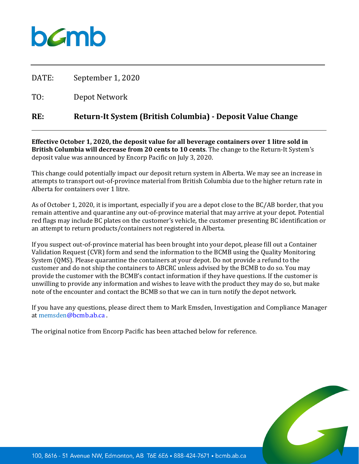

DATE: September 1, 2020

TO: Depot Network

## **RE: Return-It System (British Columbia) - Deposit Value Change**

**Effective October 1, 2020, the deposit value for all beverage containers over 1 litre sold in British Columbia will decrease from 20 cents to 10 cents**. The change to the Return-It System's deposit value was announced by Encorp Pacific on July 3, 2020.

This change could potentially impact our deposit return system in Alberta. We may see an increase in attempts to transport out-of-province material from British Columbia due to the higher return rate in Alberta for containers over 1 litre.

As of October 1, 2020, it is important, especially if you are a depot close to the BC/AB border, that you remain attentive and quarantine any out-of-province material that may arrive at your depot. Potential red flags may include BC plates on the customer's vehicle, the customer presenting BC identification or an attempt to return products/containers not registered in Alberta.

If you suspect out-of-province material has been brought into your depot, please fill out a Container Validation Request (CVR) form and send the information to the BCMB using the Quality Monitoring System (QMS). Please quarantine the containers at your depot. Do not provide a refund to the customer and do not ship the containers to ABCRC unless advised by the BCMB to do so. You may provide the customer with the BCMB's contact information if they have questions. If the customer is unwilling to provide any information and wishes to leave with the product they may do so, but make note of the encounter and contact the BCMB so that we can in turn notify the depot network.

If you have any questions, please direct them to Mark Emsden, Investigation and Compliance Manager at memsden@bcmb.ab.ca .

The original notice from Encorp Pacific has been attached below for reference.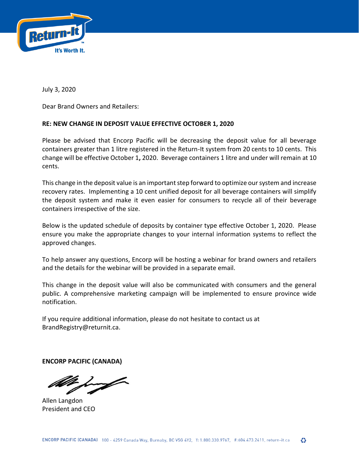

July 3, 2020

Dear Brand Owners and Retailers:

## **RE: NEW CHANGE IN DEPOSIT VALUE EFFECTIVE OCTOBER 1, 2020**

Please be advised that Encorp Pacific will be decreasing the deposit value for all beverage containers greater than 1 litre registered in the Return-It system from 20 cents to 10 cents. This change will be effective October 1**,** 2020. Beverage containers 1 litre and under will remain at 10 cents.

This change in the deposit value is an important step forward to optimize our system and increase recovery rates. Implementing a 10 cent unified deposit for all beverage containers will simplify the deposit system and make it even easier for consumers to recycle all of their beverage containers irrespective of the size.

Below is the updated schedule of deposits by container type effective October 1, 2020. Please ensure you make the appropriate changes to your internal information systems to reflect the approved changes.

To help answer any questions, Encorp will be hosting a webinar for brand owners and retailers and the details for the webinar will be provided in a separate email.

This change in the deposit value will also be communicated with consumers and the general public. A comprehensive marketing campaign will be implemented to ensure province wide notification.

If you require additional information, please do not hesitate to contact us at BrandRegistry@returnit.ca.

**ENCORP PACIFIC (CANADA)** 

Allen Langdon President and CEO